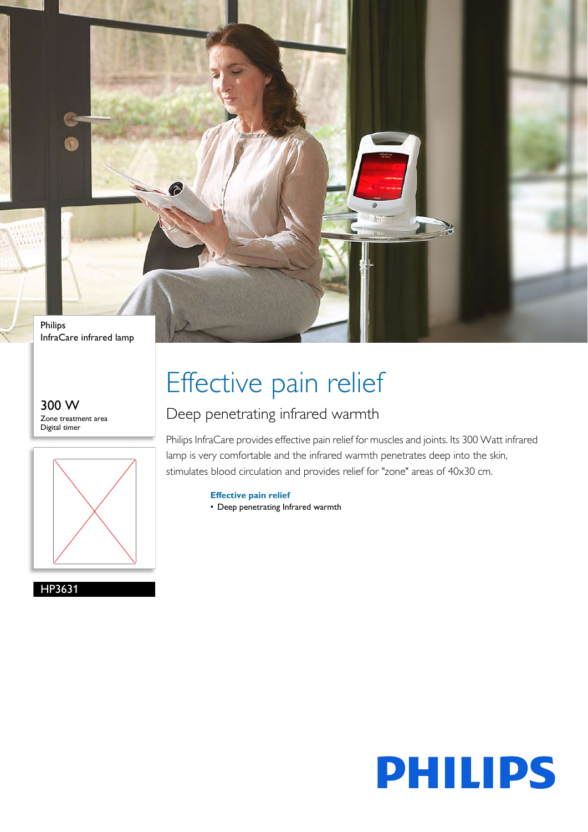

InfraCare infrared lamp

300 W Zone treatment area Digital timer



HP3631

# Effective pain relief

### Deep penetrating infrared warmth

Philips InfraCare provides effective pain relief for muscles and joints. Its 300 Watt infrared lamp is very comfortable and the infrared warmth penetrates deep into the skin, stimulates blood circulation and provides relief for "zone" areas of 40x30 cm.

**Effective pain relief**

• Deep penetrating Infrared warmth